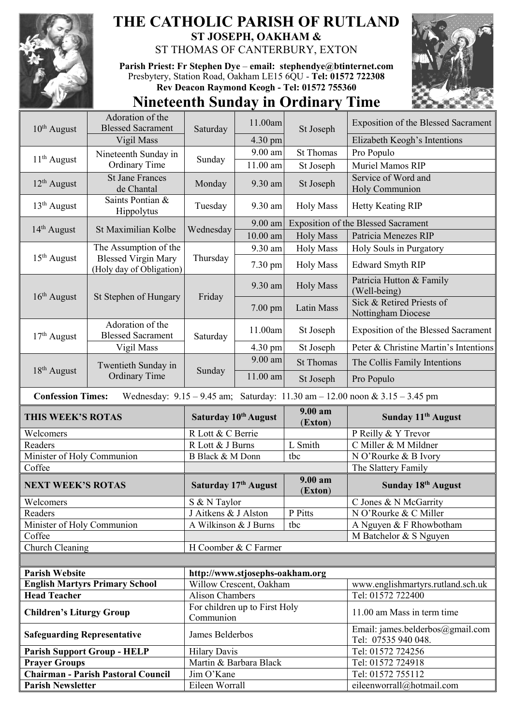

## **THE CATHOLIC PARISH OF RUTLAND ST JOSEPH, OAKHAM &**  ST THOMAS OF CANTERBURY, EXTON

**Parish Priest: Fr Stephen Dye** – **[email: stephendye@btinternet.com](mailto:email:%20%20stephendye@btinternet.com)** Presbytery, Station Road, Oakham LE15 6QU - **Tel: 01572 722308 Rev Deacon Raymond Keogh - Tel: 01572 755360**



## **Nineteenth Sunday in Ordinary Time**

| $10th$ August                      | Adoration of the<br><b>Blessed Sacrament</b>           | Saturday                     | 11.00am                         | St Joseph                      | <b>Exposition of the Blessed Sacrament</b>                                          |
|------------------------------------|--------------------------------------------------------|------------------------------|---------------------------------|--------------------------------|-------------------------------------------------------------------------------------|
|                                    | Vigil Mass                                             |                              | 4.30 pm                         |                                | Elizabeth Keogh's Intentions                                                        |
|                                    | Nineteenth Sunday in                                   |                              | 9.00 am                         | <b>St Thomas</b>               | Pro Populo                                                                          |
| $11th$ August                      | Ordinary Time                                          | Sunday                       | 11.00 am                        | St Joseph                      | Muriel Mamos RIP                                                                    |
| $12th$ August                      | <b>St Jane Frances</b><br>de Chantal                   | Monday                       | 9.30 am                         | St Joseph                      | Service of Word and<br>Holy Communion                                               |
| $13th$ August                      | Saints Pontian &<br>Hippolytus                         | Tuesday                      | 9.30 am                         | <b>Holy Mass</b>               | Hetty Keating RIP                                                                   |
|                                    | St Maximilian Kolbe                                    | Wednesday                    | 9.00 am                         |                                | <b>Exposition of the Blessed Sacrament</b>                                          |
| $14th$ August                      |                                                        |                              | 10.00 am                        | <b>Holy Mass</b>               | Patricia Menezes RIP                                                                |
| $15th$ August                      | The Assumption of the                                  | Thursday                     | 9.30 am                         | <b>Holy Mass</b>               | Holy Souls in Purgatory                                                             |
|                                    | <b>Blessed Virgin Mary</b><br>(Holy day of Obligation) |                              | 7.30 pm                         | <b>Holy Mass</b>               | <b>Edward Smyth RIP</b>                                                             |
| $16th$ August                      | St Stephen of Hungary                                  | Friday                       | 9.30 am                         | <b>Holy Mass</b>               | Patricia Hutton & Family<br>(Well-being)                                            |
|                                    |                                                        |                              | 7.00 pm                         | <b>Latin Mass</b>              | Sick & Retired Priests of<br><b>Nottingham Diocese</b>                              |
| $17th$ August                      | Adoration of the<br><b>Blessed Sacrament</b>           | Saturday                     | 11.00am                         | St Joseph                      | <b>Exposition of the Blessed Sacrament</b>                                          |
|                                    | Vigil Mass                                             |                              | 4.30 pm                         | St Joseph                      | Peter & Christine Martin's Intentions                                               |
| 18 <sup>th</sup> August            | Twentieth Sunday in<br><b>Ordinary Time</b>            | Sunday                       | $9.00$ am                       | <b>St Thomas</b>               | The Collis Family Intentions                                                        |
|                                    |                                                        |                              | 11.00 am                        | St Joseph                      | Pro Populo                                                                          |
| <b>Confession Times:</b>           |                                                        |                              |                                 |                                | Wednesday: $9.15 - 9.45$ am; Saturday: $11.30$ am $- 12.00$ noon & $3.15 - 3.45$ pm |
|                                    |                                                        |                              |                                 |                                |                                                                                     |
| <b>THIS WEEK'S ROTAS</b>           |                                                        | Saturday 10th August         |                                 | 9.00 am                        | Sunday 11 <sup>th</sup> August                                                      |
| Welcomers                          |                                                        | R Lott & C Berrie            |                                 | (Exton)                        | P Reilly & Y Trevor                                                                 |
| Readers                            |                                                        | R Lott & J Burns             |                                 | L Smith                        | C Miller & M Mildner                                                                |
| Minister of Holy Communion         |                                                        | B Black & M Donn             |                                 | tbc                            | N O'Rourke & B Ivory                                                                |
| Coffee                             |                                                        |                              |                                 |                                | The Slattery Family                                                                 |
| <b>NEXT WEEK'S ROTAS</b>           |                                                        | Saturday 17th August         |                                 | 9.00 a <sub>m</sub><br>(Exton) | Sunday 18th August                                                                  |
| Welcomers                          |                                                        | S & N Taylor                 |                                 |                                | C Jones & N McGarrity                                                               |
| Readers                            |                                                        | J Aitkens & J Alston         |                                 | P Pitts                        | N O'Rourke & C Miller                                                               |
| Minister of Holy Communion         |                                                        | A Wilkinson & J Burns        |                                 | tbc                            | A Nguyen & F Rhowbotham                                                             |
| Coffee                             |                                                        |                              |                                 |                                | M Batchelor & S Nguyen                                                              |
| Church Cleaning                    |                                                        |                              | H Coomber & C Farmer            |                                |                                                                                     |
|                                    |                                                        |                              |                                 |                                |                                                                                     |
| <b>Parish Website</b>              |                                                        |                              | http://www.stjosephs-oakham.org |                                |                                                                                     |
|                                    | <b>English Martyrs Primary School</b>                  |                              | Willow Crescent, Oakham         |                                | www.englishmartyrs.rutland.sch.uk                                                   |
| <b>Head Teacher</b>                |                                                        | <b>Alison Chambers</b>       |                                 |                                | Tel: 01572 722400                                                                   |
| <b>Children's Liturgy Group</b>    |                                                        | Communion                    | For children up to First Holy   |                                | 11.00 am Mass in term time                                                          |
| <b>Safeguarding Representative</b> |                                                        | James Belderbos              |                                 |                                | Email: james.belderbos@gmail.com<br>Tel: 07535 940 048.                             |
|                                    | <b>Parish Support Group - HELP</b>                     | <b>Hilary Davis</b>          |                                 |                                | Tel: 01572 724256                                                                   |
| <b>Prayer Groups</b>               |                                                        |                              | Martin & Barbara Black          |                                | Tel: 01572 724918                                                                   |
| <b>Parish Newsletter</b>           | <b>Chairman - Parish Pastoral Council</b>              | Jim O'Kane<br>Eileen Worrall |                                 |                                | Tel: 01572 755112<br>eileenworrall@hotmail.com                                      |